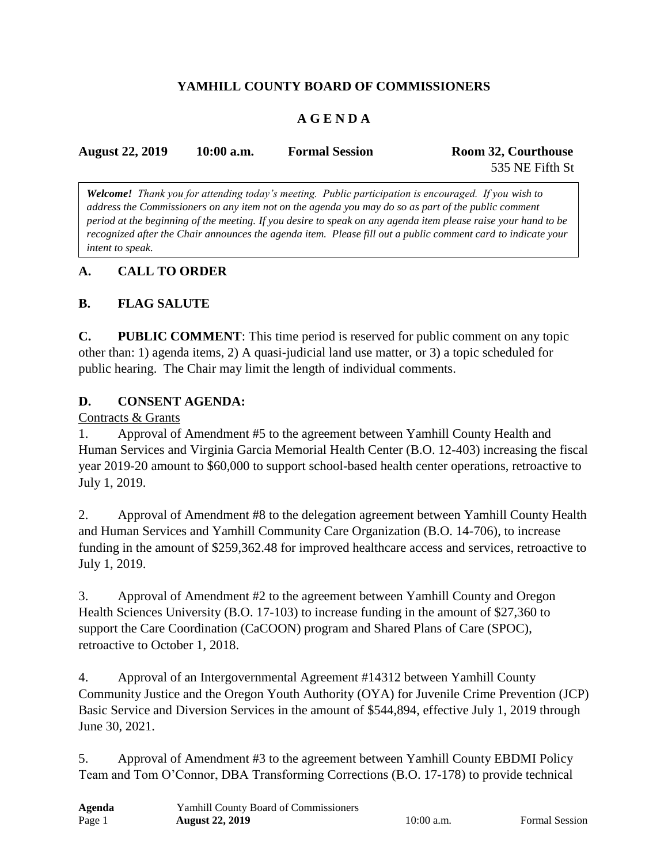# **YAMHILL COUNTY BOARD OF COMMISSIONERS**

# **A G E N D A**

| <b>August 22, 2019</b> | $10:00$ a.m. | <b>Formal Session</b> | Room 32, Courthouse |
|------------------------|--------------|-----------------------|---------------------|
|                        |              |                       | 535 NE Fifth St     |

*Welcome! Thank you for attending today's meeting. Public participation is encouraged. If you wish to address the Commissioners on any item not on the agenda you may do so as part of the public comment period at the beginning of the meeting. If you desire to speak on any agenda item please raise your hand to be recognized after the Chair announces the agenda item. Please fill out a public comment card to indicate your intent to speak.*

### **A. CALL TO ORDER**

## **B. FLAG SALUTE**

**C. PUBLIC COMMENT**: This time period is reserved for public comment on any topic other than: 1) agenda items, 2) A quasi-judicial land use matter, or 3) a topic scheduled for public hearing. The Chair may limit the length of individual comments.

### **D. CONSENT AGENDA:**

#### Contracts & Grants

1. Approval of Amendment #5 to the agreement between Yamhill County Health and Human Services and Virginia Garcia Memorial Health Center (B.O. 12-403) increasing the fiscal year 2019-20 amount to \$60,000 to support school-based health center operations, retroactive to July 1, 2019.

2. Approval of Amendment #8 to the delegation agreement between Yamhill County Health and Human Services and Yamhill Community Care Organization (B.O. 14-706), to increase funding in the amount of \$259,362.48 for improved healthcare access and services, retroactive to July 1, 2019.

3. Approval of Amendment #2 to the agreement between Yamhill County and Oregon Health Sciences University (B.O. 17-103) to increase funding in the amount of \$27,360 to support the Care Coordination (CaCOON) program and Shared Plans of Care (SPOC), retroactive to October 1, 2018.

4. Approval of an Intergovernmental Agreement #14312 between Yamhill County Community Justice and the Oregon Youth Authority (OYA) for Juvenile Crime Prevention (JCP) Basic Service and Diversion Services in the amount of \$544,894, effective July 1, 2019 through June 30, 2021.

5. Approval of Amendment #3 to the agreement between Yamhill County EBDMI Policy Team and Tom O'Connor, DBA Transforming Corrections (B.O. 17-178) to provide technical